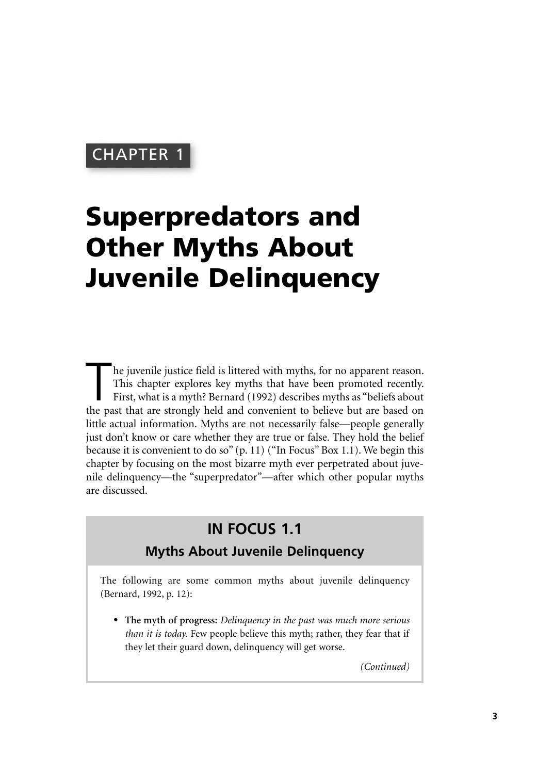# CHAPTER 1

# **Superpredators and Other Myths About Juvenile Delinquency**

The juvenile justice field is littered with myths, for no apparent reason.<br>This chapter explores key myths that have been promoted recently.<br>First, what is a myth? Bernard (1992) describes myths as "beliefs about<br>the past This chapter explores key myths that have been promoted recently. First, what is a myth? Bernard (1992) describes myths as "beliefs about the past that are strongly held and convenient to believe but are based on little actual information. Myths are not necessarily false—people generally just don't know or care whether they are true or false. They hold the belief because it is convenient to do so" (p. 11) ("In Focus" Box 1.1). We begin this chapter by focusing on the most bizarre myth ever perpetrated about juvenile delinquency—the "superpredator"—after which other popular myths are discussed.

# **IN FOCUS 1.1**

## **Myths About Juvenile Delinquency**

The following are some common myths about juvenile delinquency (Bernard, 1992, p. 12):

• **The myth of progress:** *Delinquency in the past was much more serious than it is today.* Few people believe this myth; rather, they fear that if they let their guard down, delinquency will get worse.

*(Continued)*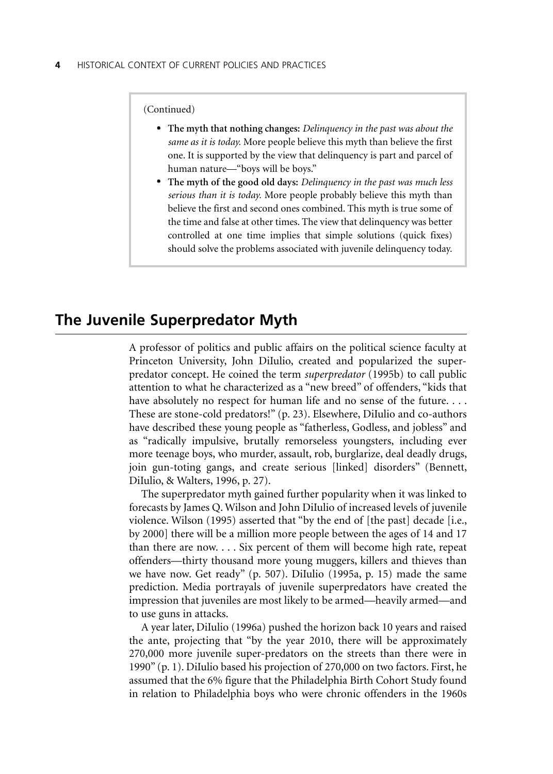(Continued)

- **The myth that nothing changes:** *Delinquency in the past was about the same as it is today.* More people believe this myth than believe the first one. It is supported by the view that delinquency is part and parcel of human nature—"boys will be boys."
- **The myth of the good old days:** *Delinquency in the past was much less serious than it is today.* More people probably believe this myth than believe the first and second ones combined. This myth is true some of the time and false at other times. The view that delinquency was better controlled at one time implies that simple solutions (quick fixes) should solve the problems associated with juvenile delinquency today.

## **The Juvenile Superpredator Myth**

A professor of politics and public affairs on the political science faculty at Princeton University, John DiIulio, created and popularized the superpredator concept. He coined the term *superpredator* (1995b) to call public attention to what he characterized as a "new breed" of offenders, "kids that have absolutely no respect for human life and no sense of the future.... These are stone-cold predators!" (p. 23). Elsewhere, DiIulio and co-authors have described these young people as "fatherless, Godless, and jobless" and as "radically impulsive, brutally remorseless youngsters, including ever more teenage boys, who murder, assault, rob, burglarize, deal deadly drugs, join gun-toting gangs, and create serious [linked] disorders" (Bennett, DiIulio, & Walters, 1996, p. 27).

The superpredator myth gained further popularity when it was linked to forecasts by James Q. Wilson and John DiIulio of increased levels of juvenile violence. Wilson (1995) asserted that "by the end of [the past] decade [i.e., by 2000] there will be a million more people between the ages of 14 and 17 than there are now. . . . Six percent of them will become high rate, repeat offenders—thirty thousand more young muggers, killers and thieves than we have now. Get ready" (p. 507). DiIulio (1995a, p. 15) made the same prediction. Media portrayals of juvenile superpredators have created the impression that juveniles are most likely to be armed—heavily armed—and to use guns in attacks.

A year later, DiIulio (1996a) pushed the horizon back 10 years and raised the ante, projecting that "by the year 2010, there will be approximately 270,000 more juvenile super-predators on the streets than there were in 1990" (p. 1). DiIulio based his projection of 270,000 on two factors. First, he assumed that the 6% figure that the Philadelphia Birth Cohort Study found in relation to Philadelphia boys who were chronic offenders in the 1960s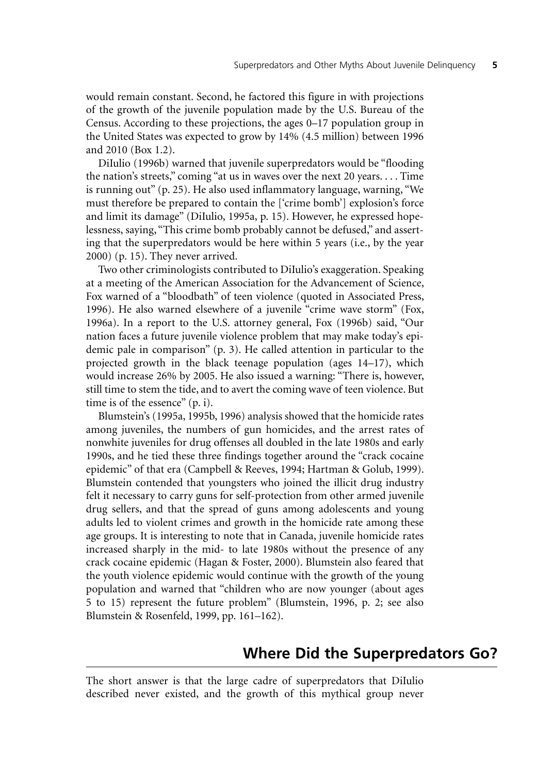would remain constant. Second, he factored this figure in with projections of the growth of the juvenile population made by the U.S. Bureau of the Census. According to these projections, the ages 0–17 population group in the United States was expected to grow by 14% (4.5 million) between 1996 and 2010 (Box 1.2).

DiIulio (1996b) warned that juvenile superpredators would be "flooding the nation's streets," coming "at us in waves over the next 20 years. . . . Time is running out" (p. 25). He also used inflammatory language, warning, "We must therefore be prepared to contain the ['crime bomb'] explosion's force and limit its damage" (DiIulio, 1995a, p. 15). However, he expressed hopelessness, saying, "This crime bomb probably cannot be defused," and asserting that the superpredators would be here within 5 years (i.e., by the year 2000) (p. 15). They never arrived.

Two other criminologists contributed to DiIulio's exaggeration. Speaking at a meeting of the American Association for the Advancement of Science, Fox warned of a "bloodbath" of teen violence (quoted in Associated Press, 1996). He also warned elsewhere of a juvenile "crime wave storm" (Fox, 1996a). In a report to the U.S. attorney general, Fox (1996b) said, "Our nation faces a future juvenile violence problem that may make today's epidemic pale in comparison" (p. 3). He called attention in particular to the projected growth in the black teenage population (ages 14–17), which would increase 26% by 2005. He also issued a warning: "There is, however, still time to stem the tide, and to avert the coming wave of teen violence. But time is of the essence" (p. i).

Blumstein's (1995a, 1995b, 1996) analysis showed that the homicide rates among juveniles, the numbers of gun homicides, and the arrest rates of nonwhite juveniles for drug offenses all doubled in the late 1980s and early 1990s, and he tied these three findings together around the "crack cocaine epidemic" of that era (Campbell & Reeves, 1994; Hartman & Golub, 1999). Blumstein contended that youngsters who joined the illicit drug industry felt it necessary to carry guns for self-protection from other armed juvenile drug sellers, and that the spread of guns among adolescents and young adults led to violent crimes and growth in the homicide rate among these age groups. It is interesting to note that in Canada, juvenile homicide rates increased sharply in the mid- to late 1980s without the presence of any crack cocaine epidemic (Hagan & Foster, 2000). Blumstein also feared that the youth violence epidemic would continue with the growth of the young population and warned that "children who are now younger (about ages 5 to 15) represent the future problem" (Blumstein, 1996, p. 2; see also Blumstein & Rosenfeld, 1999, pp. 161–162).

## **Where Did the Superpredators Go?**

The short answer is that the large cadre of superpredators that DiIulio described never existed, and the growth of this mythical group never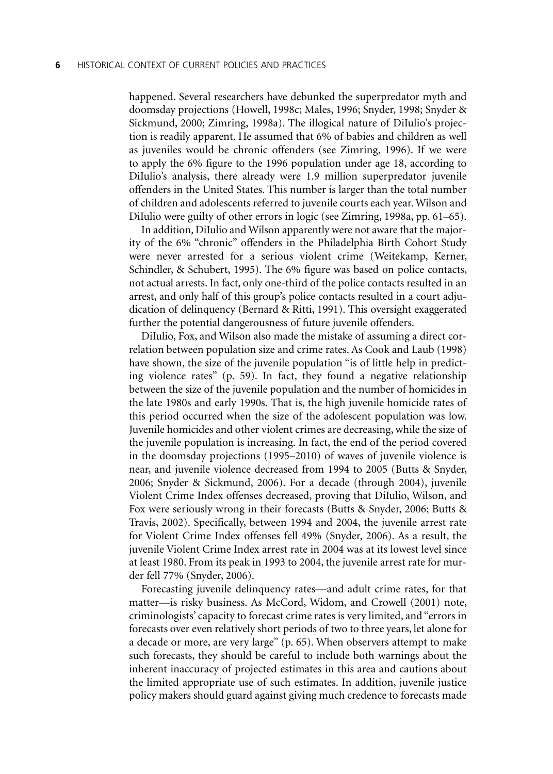happened. Several researchers have debunked the superpredator myth and doomsday projections (Howell, 1998c; Males, 1996; Snyder, 1998; Snyder & Sickmund, 2000; Zimring, 1998a). The illogical nature of DiIulio's projection is readily apparent. He assumed that 6% of babies and children as well as juveniles would be chronic offenders (see Zimring, 1996). If we were to apply the 6% figure to the 1996 population under age 18, according to DiIulio's analysis, there already were 1.9 million superpredator juvenile offenders in the United States. This number is larger than the total number of children and adolescents referred to juvenile courts each year. Wilson and DiIulio were guilty of other errors in logic (see Zimring, 1998a, pp. 61–65).

In addition, DiIulio and Wilson apparently were not aware that the majority of the 6% "chronic" offenders in the Philadelphia Birth Cohort Study were never arrested for a serious violent crime (Weitekamp, Kerner, Schindler, & Schubert, 1995). The 6% figure was based on police contacts, not actual arrests. In fact, only one-third of the police contacts resulted in an arrest, and only half of this group's police contacts resulted in a court adjudication of delinquency (Bernard & Ritti, 1991). This oversight exaggerated further the potential dangerousness of future juvenile offenders.

DiIulio, Fox, and Wilson also made the mistake of assuming a direct correlation between population size and crime rates. As Cook and Laub (1998) have shown, the size of the juvenile population "is of little help in predicting violence rates" (p. 59). In fact, they found a negative relationship between the size of the juvenile population and the number of homicides in the late 1980s and early 1990s. That is, the high juvenile homicide rates of this period occurred when the size of the adolescent population was low. Juvenile homicides and other violent crimes are decreasing, while the size of the juvenile population is increasing. In fact, the end of the period covered in the doomsday projections (1995–2010) of waves of juvenile violence is near, and juvenile violence decreased from 1994 to 2005 (Butts & Snyder, 2006; Snyder & Sickmund, 2006). For a decade (through 2004), juvenile Violent Crime Index offenses decreased, proving that DiIulio, Wilson, and Fox were seriously wrong in their forecasts (Butts & Snyder, 2006; Butts & Travis, 2002). Specifically, between 1994 and 2004, the juvenile arrest rate for Violent Crime Index offenses fell 49% (Snyder, 2006). As a result, the juvenile Violent Crime Index arrest rate in 2004 was at its lowest level since at least 1980. From its peak in 1993 to 2004, the juvenile arrest rate for murder fell 77% (Snyder, 2006).

Forecasting juvenile delinquency rates—and adult crime rates, for that matter—is risky business. As McCord, Widom, and Crowell (2001) note, criminologists' capacity to forecast crime rates is very limited, and "errors in forecasts over even relatively short periods of two to three years, let alone for a decade or more, are very large" (p. 65). When observers attempt to make such forecasts, they should be careful to include both warnings about the inherent inaccuracy of projected estimates in this area and cautions about the limited appropriate use of such estimates. In addition, juvenile justice policy makers should guard against giving much credence to forecasts made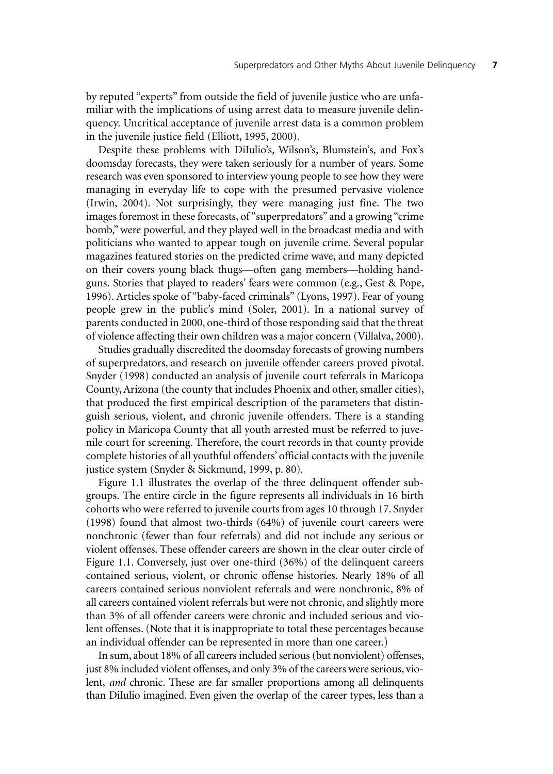by reputed "experts" from outside the field of juvenile justice who are unfamiliar with the implications of using arrest data to measure juvenile delinquency. Uncritical acceptance of juvenile arrest data is a common problem in the juvenile justice field (Elliott, 1995, 2000).

Despite these problems with DiIulio's, Wilson's, Blumstein's, and Fox's doomsday forecasts, they were taken seriously for a number of years. Some research was even sponsored to interview young people to see how they were managing in everyday life to cope with the presumed pervasive violence (Irwin, 2004). Not surprisingly, they were managing just fine. The two images foremost in these forecasts, of "superpredators" and a growing "crime bomb," were powerful, and they played well in the broadcast media and with politicians who wanted to appear tough on juvenile crime. Several popular magazines featured stories on the predicted crime wave, and many depicted on their covers young black thugs—often gang members—holding handguns. Stories that played to readers' fears were common (e.g., Gest & Pope, 1996). Articles spoke of "baby-faced criminals" (Lyons, 1997). Fear of young people grew in the public's mind (Soler, 2001). In a national survey of parents conducted in 2000, one-third of those responding said that the threat of violence affecting their own children was a major concern (Villalva, 2000).

Studies gradually discredited the doomsday forecasts of growing numbers of superpredators, and research on juvenile offender careers proved pivotal. Snyder (1998) conducted an analysis of juvenile court referrals in Maricopa County, Arizona (the county that includes Phoenix and other, smaller cities), that produced the first empirical description of the parameters that distinguish serious, violent, and chronic juvenile offenders. There is a standing policy in Maricopa County that all youth arrested must be referred to juvenile court for screening. Therefore, the court records in that county provide complete histories of all youthful offenders' official contacts with the juvenile justice system (Snyder & Sickmund, 1999, p. 80).

Figure 1.1 illustrates the overlap of the three delinquent offender subgroups. The entire circle in the figure represents all individuals in 16 birth cohorts who were referred to juvenile courts from ages 10 through 17. Snyder (1998) found that almost two-thirds (64%) of juvenile court careers were nonchronic (fewer than four referrals) and did not include any serious or violent offenses. These offender careers are shown in the clear outer circle of Figure 1.1. Conversely, just over one-third (36%) of the delinquent careers contained serious, violent, or chronic offense histories. Nearly 18% of all careers contained serious nonviolent referrals and were nonchronic, 8% of all careers contained violent referrals but were not chronic, and slightly more than 3% of all offender careers were chronic and included serious and violent offenses. (Note that it is inappropriate to total these percentages because an individual offender can be represented in more than one career.)

In sum, about 18% of all careers included serious (but nonviolent) offenses, just 8% included violent offenses, and only 3% of the careers were serious, violent, *and* chronic. These are far smaller proportions among all delinquents than DiIulio imagined. Even given the overlap of the career types, less than a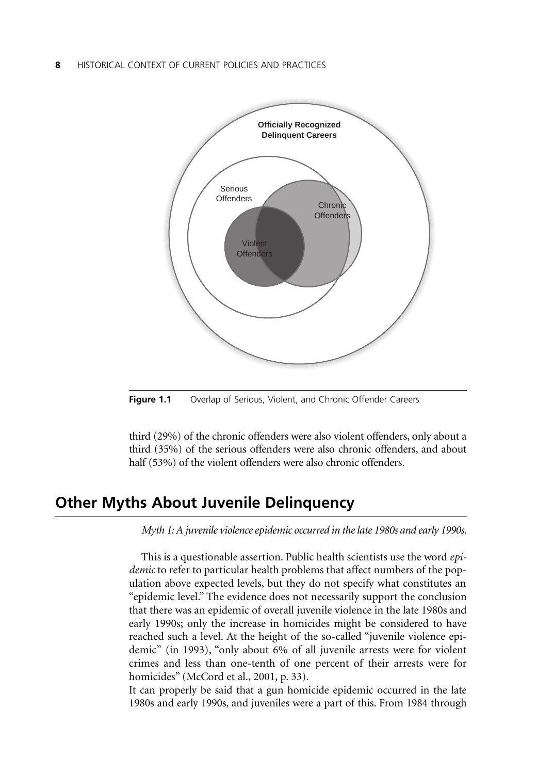#### **8**——HISTORICAL CONTEXT OF CURRENT POLICIES AND PRACTICES



**Figure 1.1** Overlap of Serious, Violent, and Chronic Offender Careers

third (29%) of the chronic offenders were also violent offenders, only about a third (35%) of the serious offenders were also chronic offenders, and about half (53%) of the violent offenders were also chronic offenders.

## **Other Myths About Juvenile Delinquency**

*Myth 1: A juvenile violence epidemic occurred in the late 1980s and early 1990s.*

This is a questionable assertion. Public health scientists use the word *epidemic* to refer to particular health problems that affect numbers of the population above expected levels, but they do not specify what constitutes an "epidemic level." The evidence does not necessarily support the conclusion that there was an epidemic of overall juvenile violence in the late 1980s and early 1990s; only the increase in homicides might be considered to have reached such a level. At the height of the so-called "juvenile violence epidemic" (in 1993), "only about 6% of all juvenile arrests were for violent crimes and less than one-tenth of one percent of their arrests were for homicides" (McCord et al., 2001, p. 33).

It can properly be said that a gun homicide epidemic occurred in the late 1980s and early 1990s, and juveniles were a part of this. From 1984 through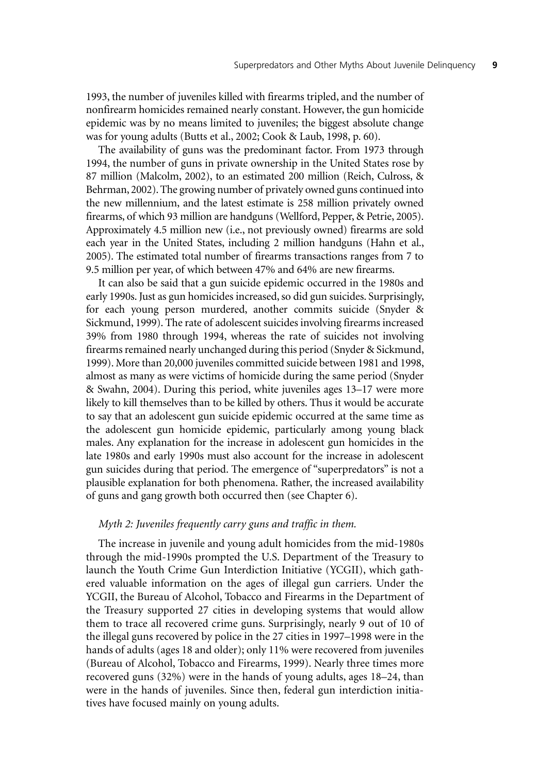1993, the number of juveniles killed with firearms tripled, and the number of nonfirearm homicides remained nearly constant. However, the gun homicide epidemic was by no means limited to juveniles; the biggest absolute change was for young adults (Butts et al., 2002; Cook & Laub, 1998, p. 60).

The availability of guns was the predominant factor. From 1973 through 1994, the number of guns in private ownership in the United States rose by 87 million (Malcolm, 2002), to an estimated 200 million (Reich, Culross, & Behrman, 2002). The growing number of privately owned guns continued into the new millennium, and the latest estimate is 258 million privately owned firearms, of which 93 million are handguns (Wellford, Pepper, & Petrie, 2005). Approximately 4.5 million new (i.e., not previously owned) firearms are sold each year in the United States, including 2 million handguns (Hahn et al., 2005). The estimated total number of firearms transactions ranges from 7 to 9.5 million per year, of which between 47% and 64% are new firearms.

It can also be said that a gun suicide epidemic occurred in the 1980s and early 1990s. Just as gun homicides increased, so did gun suicides. Surprisingly, for each young person murdered, another commits suicide (Snyder & Sickmund, 1999). The rate of adolescent suicides involving firearms increased 39% from 1980 through 1994, whereas the rate of suicides not involving firearms remained nearly unchanged during this period (Snyder & Sickmund, 1999). More than 20,000 juveniles committed suicide between 1981 and 1998, almost as many as were victims of homicide during the same period (Snyder & Swahn, 2004). During this period, white juveniles ages 13–17 were more likely to kill themselves than to be killed by others. Thus it would be accurate to say that an adolescent gun suicide epidemic occurred at the same time as the adolescent gun homicide epidemic, particularly among young black males. Any explanation for the increase in adolescent gun homicides in the late 1980s and early 1990s must also account for the increase in adolescent gun suicides during that period. The emergence of "superpredators" is not a plausible explanation for both phenomena. Rather, the increased availability of guns and gang growth both occurred then (see Chapter 6).

#### *Myth 2: Juveniles frequently carry guns and traffic in them.*

The increase in juvenile and young adult homicides from the mid-1980s through the mid-1990s prompted the U.S. Department of the Treasury to launch the Youth Crime Gun Interdiction Initiative (YCGII), which gathered valuable information on the ages of illegal gun carriers. Under the YCGII, the Bureau of Alcohol, Tobacco and Firearms in the Department of the Treasury supported 27 cities in developing systems that would allow them to trace all recovered crime guns. Surprisingly, nearly 9 out of 10 of the illegal guns recovered by police in the 27 cities in 1997–1998 were in the hands of adults (ages 18 and older); only 11% were recovered from juveniles (Bureau of Alcohol, Tobacco and Firearms, 1999). Nearly three times more recovered guns (32%) were in the hands of young adults, ages 18–24, than were in the hands of juveniles. Since then, federal gun interdiction initiatives have focused mainly on young adults.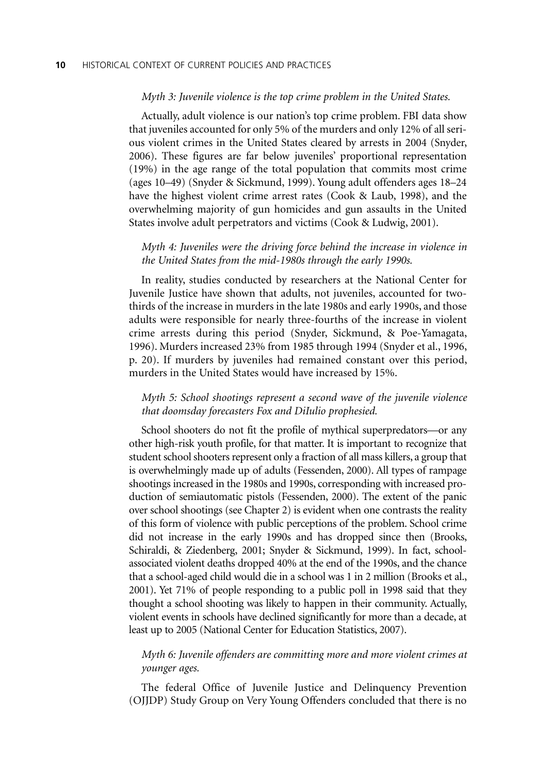#### *Myth 3: Juvenile violence is the top crime problem in the United States.*

Actually, adult violence is our nation's top crime problem. FBI data show that juveniles accounted for only 5% of the murders and only 12% of all serious violent crimes in the United States cleared by arrests in 2004 (Snyder, 2006). These figures are far below juveniles' proportional representation (19%) in the age range of the total population that commits most crime (ages 10–49) (Snyder & Sickmund, 1999). Young adult offenders ages 18–24 have the highest violent crime arrest rates (Cook & Laub, 1998), and the overwhelming majority of gun homicides and gun assaults in the United States involve adult perpetrators and victims (Cook & Ludwig, 2001).

#### *Myth 4: Juveniles were the driving force behind the increase in violence in the United States from the mid-1980s through the early 1990s.*

In reality, studies conducted by researchers at the National Center for Juvenile Justice have shown that adults, not juveniles, accounted for twothirds of the increase in murders in the late 1980s and early 1990s, and those adults were responsible for nearly three-fourths of the increase in violent crime arrests during this period (Snyder, Sickmund, & Poe-Yamagata, 1996). Murders increased 23% from 1985 through 1994 (Snyder et al., 1996, p. 20). If murders by juveniles had remained constant over this period, murders in the United States would have increased by 15%.

#### *Myth 5: School shootings represent a second wave of the juvenile violence that doomsday forecasters Fox and DiIulio prophesied.*

School shooters do not fit the profile of mythical superpredators—or any other high-risk youth profile, for that matter. It is important to recognize that student school shooters represent only a fraction of all mass killers, a group that is overwhelmingly made up of adults (Fessenden, 2000). All types of rampage shootings increased in the 1980s and 1990s, corresponding with increased production of semiautomatic pistols (Fessenden, 2000). The extent of the panic over school shootings (see Chapter 2) is evident when one contrasts the reality of this form of violence with public perceptions of the problem. School crime did not increase in the early 1990s and has dropped since then (Brooks, Schiraldi, & Ziedenberg, 2001; Snyder & Sickmund, 1999). In fact, schoolassociated violent deaths dropped 40% at the end of the 1990s, and the chance that a school-aged child would die in a school was 1 in 2 million (Brooks et al., 2001). Yet 71% of people responding to a public poll in 1998 said that they thought a school shooting was likely to happen in their community. Actually, violent events in schools have declined significantly for more than a decade, at least up to 2005 (National Center for Education Statistics, 2007).

#### *Myth 6: Juvenile offenders are committing more and more violent crimes at younger ages.*

The federal Office of Juvenile Justice and Delinquency Prevention (OJJDP) Study Group on Very Young Offenders concluded that there is no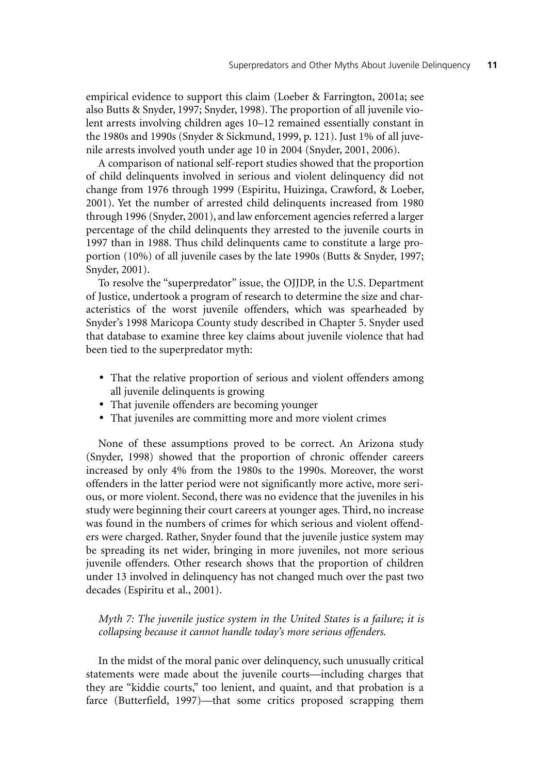empirical evidence to support this claim (Loeber & Farrington, 2001a; see also Butts & Snyder, 1997; Snyder, 1998). The proportion of all juvenile violent arrests involving children ages 10–12 remained essentially constant in the 1980s and 1990s (Snyder & Sickmund, 1999, p. 121). Just 1% of all juvenile arrests involved youth under age 10 in 2004 (Snyder, 2001, 2006).

A comparison of national self-report studies showed that the proportion of child delinquents involved in serious and violent delinquency did not change from 1976 through 1999 (Espiritu, Huizinga, Crawford, & Loeber, 2001). Yet the number of arrested child delinquents increased from 1980 through 1996 (Snyder, 2001), and law enforcement agencies referred a larger percentage of the child delinquents they arrested to the juvenile courts in 1997 than in 1988. Thus child delinquents came to constitute a large proportion (10%) of all juvenile cases by the late 1990s (Butts & Snyder, 1997; Snyder, 2001).

To resolve the "superpredator" issue, the OJJDP, in the U.S. Department of Justice, undertook a program of research to determine the size and characteristics of the worst juvenile offenders, which was spearheaded by Snyder's 1998 Maricopa County study described in Chapter 5. Snyder used that database to examine three key claims about juvenile violence that had been tied to the superpredator myth:

- That the relative proportion of serious and violent offenders among all juvenile delinquents is growing
- That juvenile offenders are becoming younger
- That juveniles are committing more and more violent crimes

None of these assumptions proved to be correct. An Arizona study (Snyder, 1998) showed that the proportion of chronic offender careers increased by only 4% from the 1980s to the 1990s. Moreover, the worst offenders in the latter period were not significantly more active, more serious, or more violent. Second, there was no evidence that the juveniles in his study were beginning their court careers at younger ages. Third, no increase was found in the numbers of crimes for which serious and violent offenders were charged. Rather, Snyder found that the juvenile justice system may be spreading its net wider, bringing in more juveniles, not more serious juvenile offenders. Other research shows that the proportion of children under 13 involved in delinquency has not changed much over the past two decades (Espiritu et al., 2001).

#### *Myth 7: The juvenile justice system in the United States is a failure; it is collapsing because it cannot handle today's more serious offenders.*

In the midst of the moral panic over delinquency, such unusually critical statements were made about the juvenile courts—including charges that they are "kiddie courts," too lenient, and quaint, and that probation is a farce (Butterfield, 1997)—that some critics proposed scrapping them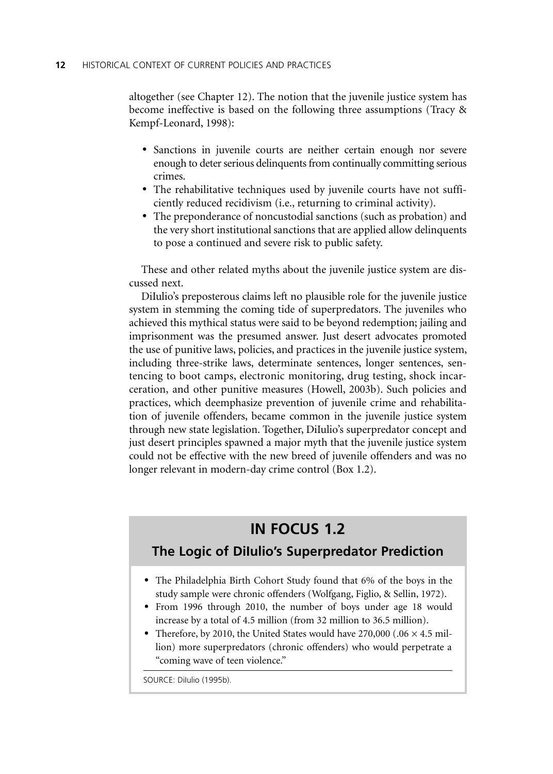altogether (see Chapter 12). The notion that the juvenile justice system has become ineffective is based on the following three assumptions (Tracy & Kempf-Leonard, 1998):

- Sanctions in juvenile courts are neither certain enough nor severe enough to deter serious delinquents from continually committing serious crimes.
- The rehabilitative techniques used by juvenile courts have not sufficiently reduced recidivism (i.e., returning to criminal activity).
- The preponderance of noncustodial sanctions (such as probation) and the very short institutional sanctions that are applied allow delinquents to pose a continued and severe risk to public safety.

These and other related myths about the juvenile justice system are discussed next.

DiIulio's preposterous claims left no plausible role for the juvenile justice system in stemming the coming tide of superpredators. The juveniles who achieved this mythical status were said to be beyond redemption; jailing and imprisonment was the presumed answer. Just desert advocates promoted the use of punitive laws, policies, and practices in the juvenile justice system, including three-strike laws, determinate sentences, longer sentences, sentencing to boot camps, electronic monitoring, drug testing, shock incarceration, and other punitive measures (Howell, 2003b). Such policies and practices, which deemphasize prevention of juvenile crime and rehabilitation of juvenile offenders, became common in the juvenile justice system through new state legislation. Together, DiIulio's superpredator concept and just desert principles spawned a major myth that the juvenile justice system could not be effective with the new breed of juvenile offenders and was no longer relevant in modern-day crime control (Box 1.2).

## **IN FOCUS 1.2**

## **The Logic of DiIulio's Superpredator Prediction**

- The Philadelphia Birth Cohort Study found that 6% of the boys in the study sample were chronic offenders (Wolfgang, Figlio, & Sellin, 1972).
- From 1996 through 2010, the number of boys under age 18 would increase by a total of 4.5 million (from 32 million to 36.5 million).
- Therefore, by 2010, the United States would have  $270,000$  (.06  $\times$  4.5 million) more superpredators (chronic offenders) who would perpetrate a "coming wave of teen violence."

SOURCE: Dilulio (1995b).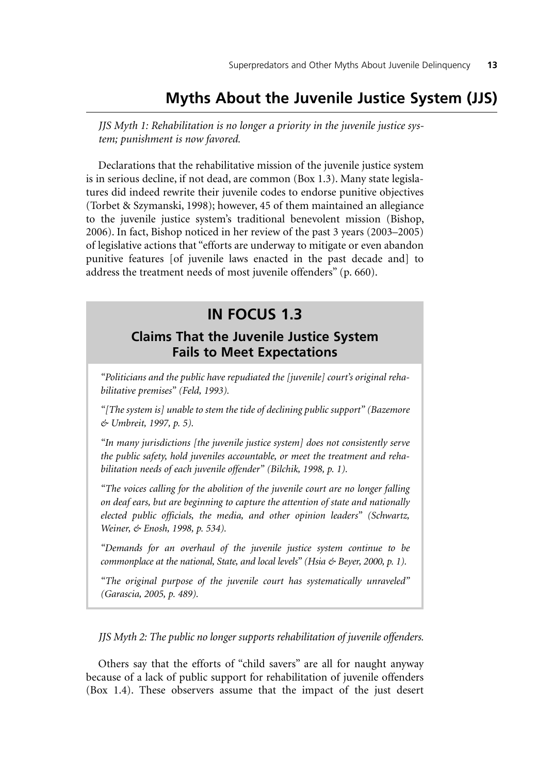## **Myths About the Juvenile Justice System (JJS)**

*JJS Myth 1: Rehabilitation is no longer a priority in the juvenile justice system; punishment is now favored.*

Declarations that the rehabilitative mission of the juvenile justice system is in serious decline, if not dead, are common (Box 1.3). Many state legislatures did indeed rewrite their juvenile codes to endorse punitive objectives (Torbet & Szymanski, 1998); however, 45 of them maintained an allegiance to the juvenile justice system's traditional benevolent mission (Bishop, 2006). In fact, Bishop noticed in her review of the past 3 years (2003–2005) of legislative actions that "efforts are underway to mitigate or even abandon punitive features [of juvenile laws enacted in the past decade and] to address the treatment needs of most juvenile offenders" (p. 660).

## **IN FOCUS 1.3**

## **Claims That the Juvenile Justice System Fails to Meet Expectations**

*"Politicians and the public have repudiated the [juvenile] court's original rehabilitative premises" (Feld, 1993).*

*"[The system is] unable to stem the tide of declining public support" (Bazemore & Umbreit, 1997, p. 5).*

*"In many jurisdictions [the juvenile justice system] does not consistently serve the public safety, hold juveniles accountable, or meet the treatment and rehabilitation needs of each juvenile offender" (Bilchik, 1998, p. 1).*

*"The voices calling for the abolition of the juvenile court are no longer falling on deaf ears, but are beginning to capture the attention of state and nationally elected public officials, the media, and other opinion leaders" (Schwartz, Weiner, & Enosh, 1998, p. 534).*

*"Demands for an overhaul of the juvenile justice system continue to be commonplace at the national, State, and local levels" (Hsia & Beyer, 2000, p. 1).*

*"The original purpose of the juvenile court has systematically unraveled" (Garascia, 2005, p. 489).*

*JJS Myth 2: The public no longer supports rehabilitation of juvenile offenders.*

Others say that the efforts of "child savers" are all for naught anyway because of a lack of public support for rehabilitation of juvenile offenders (Box 1.4). These observers assume that the impact of the just desert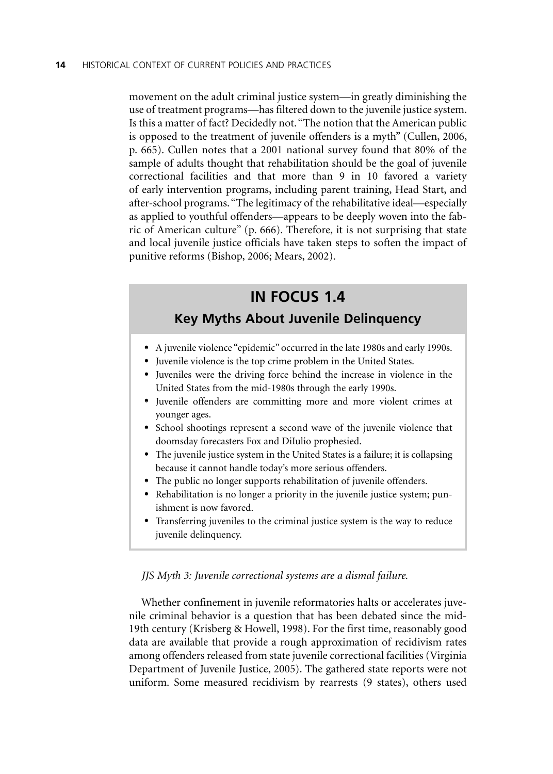movement on the adult criminal justice system—in greatly diminishing the use of treatment programs—has filtered down to the juvenile justice system. Is this a matter of fact? Decidedly not. "The notion that the American public is opposed to the treatment of juvenile offenders is a myth" (Cullen, 2006, p. 665). Cullen notes that a 2001 national survey found that 80% of the sample of adults thought that rehabilitation should be the goal of juvenile correctional facilities and that more than 9 in 10 favored a variety of early intervention programs, including parent training, Head Start, and after-school programs. "The legitimacy of the rehabilitative ideal—especially as applied to youthful offenders—appears to be deeply woven into the fabric of American culture" (p. 666). Therefore, it is not surprising that state and local juvenile justice officials have taken steps to soften the impact of punitive reforms (Bishop, 2006; Mears, 2002).

## **IN FOCUS 1.4**

## **Key Myths About Juvenile Delinquency**

- A juvenile violence "epidemic" occurred in the late 1980s and early 1990s.
- Juvenile violence is the top crime problem in the United States.
- Juveniles were the driving force behind the increase in violence in the United States from the mid-1980s through the early 1990s.
- Juvenile offenders are committing more and more violent crimes at younger ages.
- School shootings represent a second wave of the juvenile violence that doomsday forecasters Fox and DiIulio prophesied.
- The juvenile justice system in the United States is a failure; it is collapsing because it cannot handle today's more serious offenders.
- The public no longer supports rehabilitation of juvenile offenders.
- Rehabilitation is no longer a priority in the juvenile justice system; punishment is now favored.
- Transferring juveniles to the criminal justice system is the way to reduce juvenile delinquency.

#### *JJS Myth 3: Juvenile correctional systems are a dismal failure.*

Whether confinement in juvenile reformatories halts or accelerates juvenile criminal behavior is a question that has been debated since the mid-19th century (Krisberg & Howell, 1998). For the first time, reasonably good data are available that provide a rough approximation of recidivism rates among offenders released from state juvenile correctional facilities (Virginia Department of Juvenile Justice, 2005). The gathered state reports were not uniform. Some measured recidivism by rearrests (9 states), others used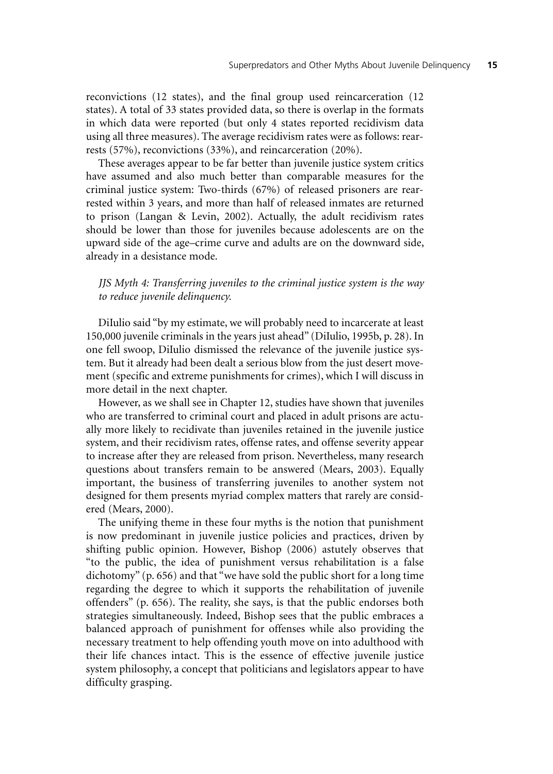reconvictions (12 states), and the final group used reincarceration (12 states). A total of 33 states provided data, so there is overlap in the formats in which data were reported (but only 4 states reported recidivism data using all three measures). The average recidivism rates were as follows: rearrests (57%), reconvictions (33%), and reincarceration (20%).

These averages appear to be far better than juvenile justice system critics have assumed and also much better than comparable measures for the criminal justice system: Two-thirds (67%) of released prisoners are rearrested within 3 years, and more than half of released inmates are returned to prison (Langan & Levin, 2002). Actually, the adult recidivism rates should be lower than those for juveniles because adolescents are on the upward side of the age–crime curve and adults are on the downward side, already in a desistance mode.

#### *JJS Myth 4: Transferring juveniles to the criminal justice system is the way to reduce juvenile delinquency.*

DiIulio said "by my estimate, we will probably need to incarcerate at least 150,000 juvenile criminals in the years just ahead" (DiIulio, 1995b, p. 28). In one fell swoop, DiIulio dismissed the relevance of the juvenile justice system. But it already had been dealt a serious blow from the just desert movement (specific and extreme punishments for crimes), which I will discuss in more detail in the next chapter.

However, as we shall see in Chapter 12, studies have shown that juveniles who are transferred to criminal court and placed in adult prisons are actually more likely to recidivate than juveniles retained in the juvenile justice system, and their recidivism rates, offense rates, and offense severity appear to increase after they are released from prison. Nevertheless, many research questions about transfers remain to be answered (Mears, 2003). Equally important, the business of transferring juveniles to another system not designed for them presents myriad complex matters that rarely are considered (Mears, 2000).

The unifying theme in these four myths is the notion that punishment is now predominant in juvenile justice policies and practices, driven by shifting public opinion. However, Bishop (2006) astutely observes that "to the public, the idea of punishment versus rehabilitation is a false dichotomy" (p. 656) and that "we have sold the public short for a long time regarding the degree to which it supports the rehabilitation of juvenile offenders" (p. 656). The reality, she says, is that the public endorses both strategies simultaneously. Indeed, Bishop sees that the public embraces a balanced approach of punishment for offenses while also providing the necessary treatment to help offending youth move on into adulthood with their life chances intact. This is the essence of effective juvenile justice system philosophy, a concept that politicians and legislators appear to have difficulty grasping.